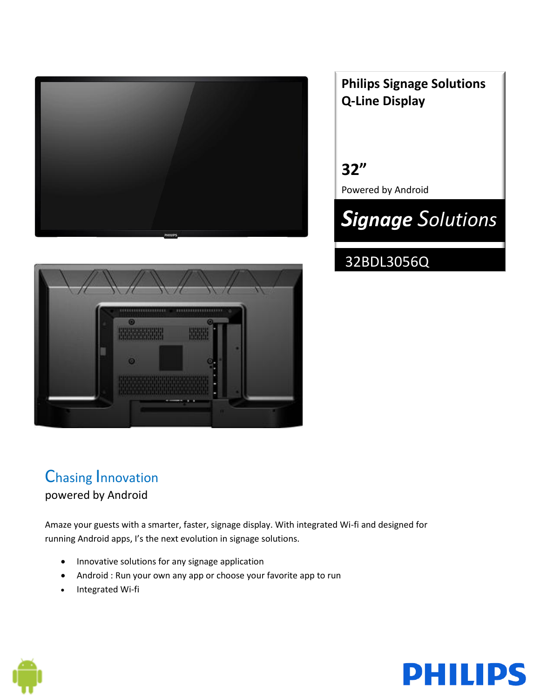

## **Philips Signage Solutions Q-Line Display**

**32"** Powered by Android

# *Signage Solutions*

## 32BDL3056Q



### Chasing Innovation powered by Android

Amaze your guests with a smarter, faster, signage display. With integrated Wi-fi and designed for running Android apps, I's the next evolution in signage solutions.

- Innovative solutions for any signage application
- Android : Run your own any app or choose your favorite app to run
- Integrated Wi-fi